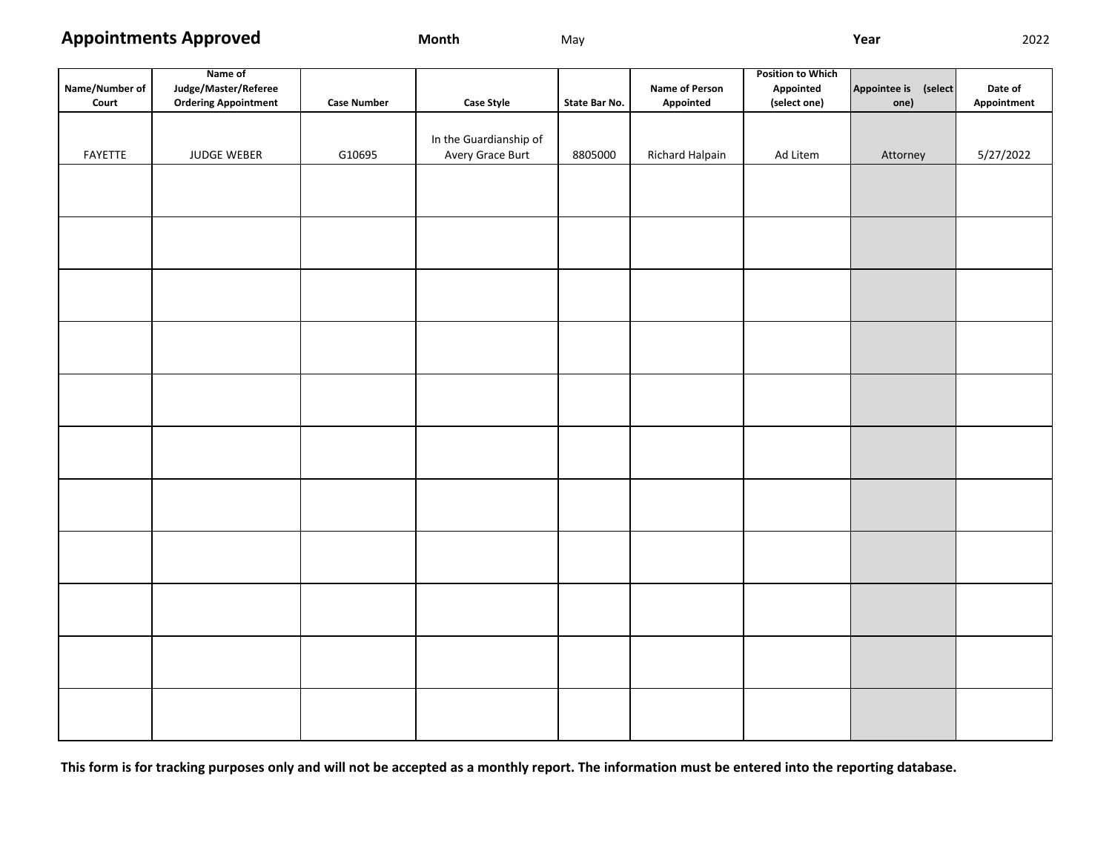**Appointments Approved**

**Month** May **Year** 2022

|                | Name of                     |                    |                        |               |                 |              |                      |             |
|----------------|-----------------------------|--------------------|------------------------|---------------|-----------------|--------------|----------------------|-------------|
| Name/Number of | Judge/Master/Referee        |                    |                        |               | Name of Person  | Appointed    | Appointee is (select | Date of     |
| Court          | <b>Ordering Appointment</b> | <b>Case Number</b> | <b>Case Style</b>      | State Bar No. | Appointed       | (select one) | one)                 | Appointment |
|                |                             |                    |                        |               |                 |              |                      |             |
|                |                             |                    | In the Guardianship of |               |                 |              |                      |             |
| FAYETTE        | JUDGE WEBER                 | G10695             | Avery Grace Burt       | 8805000       | Richard Halpain | Ad Litem     | Attorney             | 5/27/2022   |
|                |                             |                    |                        |               |                 |              |                      |             |
|                |                             |                    |                        |               |                 |              |                      |             |
|                |                             |                    |                        |               |                 |              |                      |             |
|                |                             |                    |                        |               |                 |              |                      |             |
|                |                             |                    |                        |               |                 |              |                      |             |
|                |                             |                    |                        |               |                 |              |                      |             |
|                |                             |                    |                        |               |                 |              |                      |             |
|                |                             |                    |                        |               |                 |              |                      |             |
|                |                             |                    |                        |               |                 |              |                      |             |
|                |                             |                    |                        |               |                 |              |                      |             |
|                |                             |                    |                        |               |                 |              |                      |             |
|                |                             |                    |                        |               |                 |              |                      |             |
|                |                             |                    |                        |               |                 |              |                      |             |
|                |                             |                    |                        |               |                 |              |                      |             |
|                |                             |                    |                        |               |                 |              |                      |             |
|                |                             |                    |                        |               |                 |              |                      |             |
|                |                             |                    |                        |               |                 |              |                      |             |
|                |                             |                    |                        |               |                 |              |                      |             |
|                |                             |                    |                        |               |                 |              |                      |             |
|                |                             |                    |                        |               |                 |              |                      |             |
|                |                             |                    |                        |               |                 |              |                      |             |
|                |                             |                    |                        |               |                 |              |                      |             |
|                |                             |                    |                        |               |                 |              |                      |             |
|                |                             |                    |                        |               |                 |              |                      |             |
|                |                             |                    |                        |               |                 |              |                      |             |
|                |                             |                    |                        |               |                 |              |                      |             |
|                |                             |                    |                        |               |                 |              |                      |             |
|                |                             |                    |                        |               |                 |              |                      |             |
|                |                             |                    |                        |               |                 |              |                      |             |
|                |                             |                    |                        |               |                 |              |                      |             |
|                |                             |                    |                        |               |                 |              |                      |             |
|                |                             |                    |                        |               |                 |              |                      |             |
|                |                             |                    |                        |               |                 |              |                      |             |
|                |                             |                    |                        |               |                 |              |                      |             |

**This form is for tracking purposes only and will not be accepted as a monthly report. The information must be entered into the reporting database.**